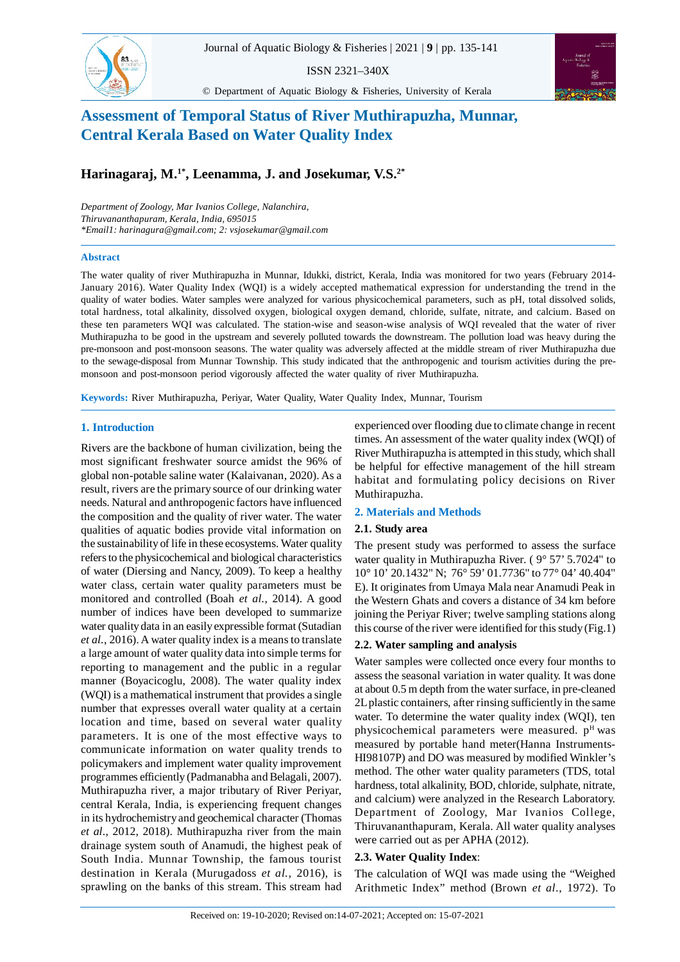

ISSN 2321–340X

© Department of Aquatic Biology & Fisheries, University of Kerala



# **Assessment of Temporal Status of River Muthirapuzha, Munnar, Central Kerala Based on Water Quality Index**

**Harinagaraj, M.1\*, Leenamma, J. and Josekumar, V.S.2\***

*Department of Zoology, Mar Ivanios College, Nalanchira, Thiruvananthapuram, Kerala, India, 695015 \*Email1: harinagura@gmail.com; 2: vsjosekumar@gmail.com*

#### **Abstract**

The water quality of river Muthirapuzha in Munnar, Idukki, district, Kerala, India was monitored for two years (February 2014- January 2016). Water Quality Index (WQI) is a widely accepted mathematical expression for understanding the trend in the quality of water bodies. Water samples were analyzed for various physicochemical parameters, such as pH, total dissolved solids, total hardness, total alkalinity, dissolved oxygen, biological oxygen demand, chloride, sulfate, nitrate, and calcium. Based on these ten parameters WQI was calculated. The station-wise and season-wise analysis of WQI revealed that the water of river Muthirapuzha to be good in the upstream and severely polluted towards the downstream. The pollution load was heavy during the pre-monsoon and post-monsoon seasons. The water quality was adversely affected at the middle stream of river Muthirapuzha due to the sewage-disposal from Munnar Township. This study indicated that the anthropogenic and tourism activities during the premonsoon and post-monsoon period vigorously affected the water quality of river Muthirapuzha.

**Keywords:** River Muthirapuzha, Periyar, Water Quality, Water Quality Index, Munnar, Tourism

### **1. Introduction**

Rivers are the backbone of human civilization, being the most significant freshwater source amidst the 96% of global non-potable saline water (Kalaivanan, 2020). As a result, rivers are the primary source of our drinking water needs. Natural and anthropogenic factors have influenced the composition and the quality of river water. The water qualities of aquatic bodies provide vital information on the sustainability of life in these ecosystems. Water quality refers to the physicochemical and biological characteristics of water (Diersing and Nancy, 2009). To keep a healthy water class, certain water quality parameters must be monitored and controlled (Boah *et al.,* 2014). A good number of indices have been developed to summarize water quality data in an easily expressible format (Sutadian *et al.*, 2016). A water quality index is a means to translate a large amount of water quality data into simple terms for reporting to management and the public in a regular manner (Boyacicoglu, 2008). The water quality index (WQI) is a mathematical instrument that provides a single number that expresses overall water quality at a certain location and time, based on several water quality parameters. It is one of the most effective ways to communicate information on water quality trends to policymakers and implement water quality improvement programmes efficiently (Padmanabha and Belagali, 2007). Muthirapuzha river, a major tributary of River Periyar, central Kerala, India, is experiencing frequent changes in its hydrochemistry and geochemical character (Thomas *et al*., 2012, 2018). Muthirapuzha river from the main drainage system south of Anamudi, the highest peak of South India. Munnar Township, the famous tourist destination in Kerala (Murugadoss *et al.*, 2016), is sprawling on the banks of this stream. This stream had

experienced over flooding due to climate change in recent times. An assessment of the water quality index (WQI) of River Muthirapuzha is attempted in this study, which shall be helpful for effective management of the hill stream habitat and formulating policy decisions on River Muthirapuzha.

# **2. Materials and Methods**

### **2.1. Study area**

The present study was performed to assess the surface water quality in Muthirapuzha River. (9° 57' 5.7024" to 10° 10' 20.1432" N; 76° 59' 01.7736" to 77° 04' 40.404" E). It originates from Umaya Mala near Anamudi Peak in the Western Ghats and covers a distance of 34 km before joining the Periyar River; twelve sampling stations along this course of the river were identified for this study (Fig.1)

### **2.2. Water sampling and analysis**

Water samples were collected once every four months to assess the seasonal variation in water quality. It was done at about 0.5 m depth from the water surface, in pre-cleaned 2L plastic containers, after rinsing sufficiently in the same water. To determine the water quality index (WQI), ten physicochemical parameters were measured.  $p<sup>H</sup>$  was measured by portable hand meter(Hanna Instruments-HI98107P) and DO was measured by modified Winkler's method. The other water quality parameters (TDS, total hardness, total alkalinity, BOD, chloride, sulphate, nitrate, and calcium) were analyzed in the Research Laboratory. Department of Zoology, Mar Ivanios College, Thiruvananthapuram, Kerala. All water quality analyses were carried out as per APHA (2012).

# **2.3. Water Quality Index**:

The calculation of WQI was made using the "Weighed Arithmetic Index" method (Brown *et al*., 1972). To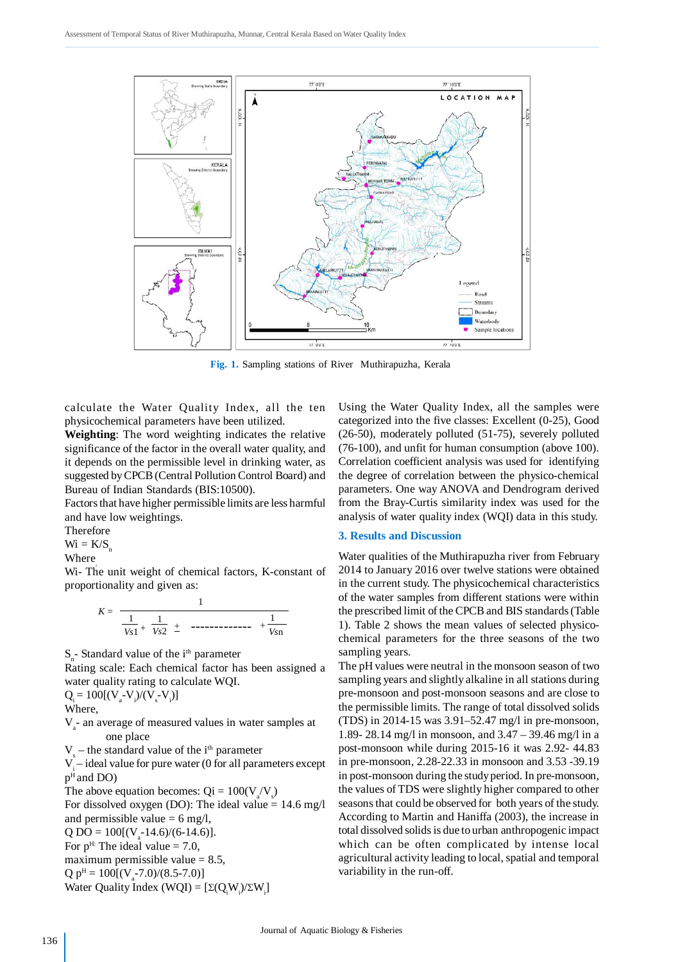

**Fig. 1.** Sampling stations of River Muthirapuzha, Kerala

calculate the Water Quality Index, all the ten physicochemical parameters have been utilized.

**Weighting**: The word weighting indicates the relative significance of the factor in the overall water quality, and it depends on the permissible level in drinking water, as suggested by CPCB (Central Pollution Control Board) and Bureau of Indian Standards (BIS:10500).

Factors that have higher permissible limits are less harmful and have low weightings.

Therefore

 $Wi = K/S$ 

Where

Wi- The unit weight of chemical factors, K-constant of proportionality and given as:

$$
K = \frac{1}{\frac{1}{V_{S1}} + \frac{1}{V_{S2}} \pm \cdots - \cdots - \cdots + \frac{1}{V_{S1}}}
$$

S<sub>n</sub>-Standard value of the i<sup>th</sup> parameter

Rating scale: Each chemical factor has been assigned a water quality rating to calculate WQI.

 $Q_i = 100[(V_a - V_i)/(V_s - V_i)]$ 

Where,

V<sub>a</sub>- an average of measured values in water samples at one place

 $V_s$  – the standard value of the i<sup>th</sup> parameter

V<sub>i</sub> – ideal value for pure water (0 for all parameters except p <sup>H</sup>and DO)

The above equation becomes:  $Qi = 100(V_a/V_s)$ For dissolved oxygen (DO): The ideal value  $= 14.6$  mg/l and permissible value  $= 6$  mg/l,  $Q DO = 100[(V_a-14.6)/(6-14.6)].$ For  $p<sup>H</sup>$ : The ideal value = 7.0, maximum permissible value  $= 8.5$ ,  $Q p<sup>H</sup> = 100[(V<sub>a</sub>-7.0)/(8.5-7.0)]$ Water Quality Index (WQI) =  $[\Sigma(Q_iW_i)/\Sigma W_i]$ 

Using the Water Quality Index, all the samples were categorized into the five classes: Excellent (0-25), Good (26-50), moderately polluted (51-75), severely polluted (76-100), and unfit for human consumption (above 100). Correlation coefficient analysis was used for identifying the degree of correlation between the physico-chemical parameters. One way ANOVA and Dendrogram derived from the Bray-Curtis similarity index was used for the analysis of water quality index (WQI) data in this study.

#### **3. Results and Discussion**

Water qualities of the Muthirapuzha river from February 2014 to January 2016 over twelve stations were obtained in the current study. The physicochemical characteristics of the water samples from different stations were within the prescribed limit of the CPCB and BIS standards (Table 1). Table 2 shows the mean values of selected physicochemical parameters for the three seasons of the two sampling years.

The pH values were neutral in the monsoon season of two sampling years and slightly alkaline in all stations during pre-monsoon and post-monsoon seasons and are close to the permissible limits. The range of total dissolved solids (TDS) in 2014-15 was 3.91–52.47 mg/l in pre-monsoon, 1.89- 28.14 mg/l in monsoon, and 3.47 – 39.46 mg/l in a post-monsoon while during 2015-16 it was 2.92- 44.83 in pre-monsoon, 2.28-22.33 in monsoon and 3.53 -39.19 in post-monsoon during the study period. In pre-monsoon, the values of TDS were slightly higher compared to other seasons that could be observed for both years of the study. According to Martin and Haniffa (2003), the increase in total dissolved solids is due to urban anthropogenic impact which can be often complicated by intense local agricultural activity leading to local, spatial and temporal variability in the run-off.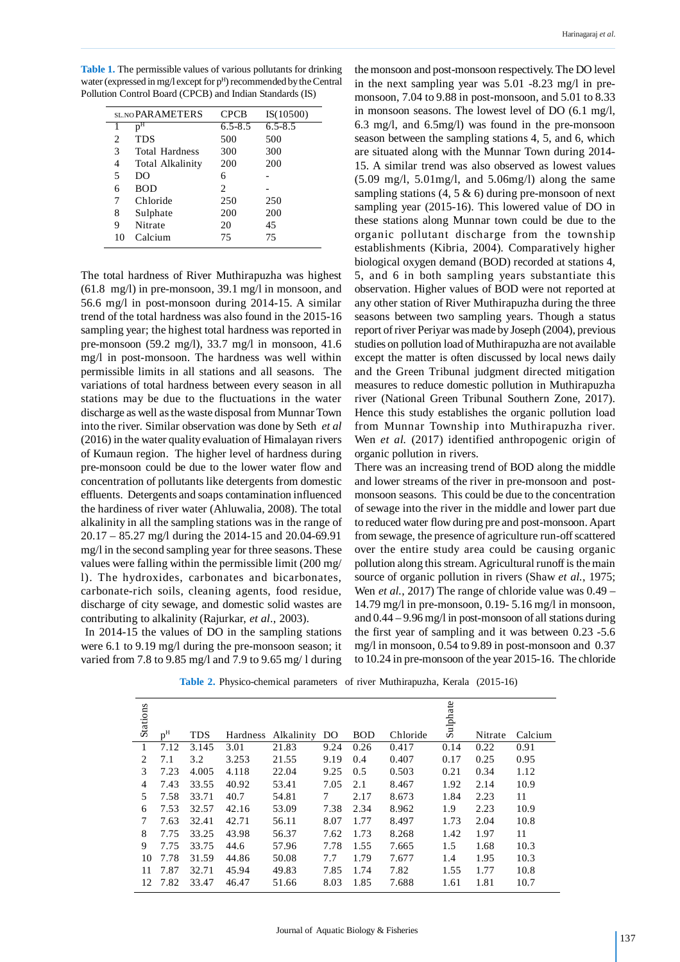**Table 1.** The permissible values of various pollutants for drinking water (expressed in mg/l except for p<sup>H</sup>) recommended by the Central Pollution Control Board (CPCB) and Indian Standards (IS)

|    | SL NO PAR AMETERS     | <b>CPCB</b>    | IS(10500)   |
|----|-----------------------|----------------|-------------|
| 1  | $p^{H}$               | $6.5 - 8.5$    | $6.5 - 8.5$ |
| 2  | <b>TDS</b>            | 500            | 500         |
| 3  | <b>Total Hardness</b> | 300            | 300         |
| 4  | Total Alkalinity      | 200            | 200         |
| 5  | DO                    | 6              |             |
| 6  | <b>BOD</b>            | $\mathfrak{D}$ |             |
| 7  | Chloride              | 250            | 250         |
| 8  | Sulphate              | 200            | 200         |
| 9  | Nitrate               | 20             | 45          |
| 10 | Calcium               | 75             | 75          |

The total hardness of River Muthirapuzha was highest (61.8 mg/l) in pre-monsoon, 39.1 mg/l in monsoon, and 56.6 mg/l in post-monsoon during 2014-15. A similar trend of the total hardness was also found in the 2015-16 sampling year; the highest total hardness was reported in pre-monsoon (59.2 mg/l), 33.7 mg/l in monsoon, 41.6 mg/l in post-monsoon. The hardness was well within permissible limits in all stations and all seasons. The variations of total hardness between every season in all stations may be due to the fluctuations in the water discharge as well as the waste disposal from Munnar Town into the river. Similar observation was done by Seth *et al* (2016) in the water quality evaluation of Himalayan rivers of Kumaun region. The higher level of hardness during pre-monsoon could be due to the lower water flow and concentration of pollutants like detergents from domestic effluents. Detergents and soaps contamination influenced the hardiness of river water (Ahluwalia, 2008). The total alkalinity in all the sampling stations was in the range of 20.17 – 85.27 mg/l during the 2014-15 and 20.04-69.91 mg/l in the second sampling year for three seasons. These values were falling within the permissible limit (200 mg/ l). The hydroxides, carbonates and bicarbonates, carbonate-rich soils, cleaning agents, food residue, discharge of city sewage, and domestic solid wastes are contributing to alkalinity (Rajurkar, *et al*., 2003).

 In 2014-15 the values of DO in the sampling stations were 6.1 to 9.19 mg/l during the pre-monsoon season; it varied from 7.8 to 9.85 mg/l and 7.9 to 9.65 mg/ l during the monsoon and post-monsoon respectively. The DO level in the next sampling year was 5.01 -8.23 mg/l in premonsoon, 7.04 to 9.88 in post-monsoon, and 5.01 to 8.33 in monsoon seasons. The lowest level of DO (6.1 mg/l, 6.3 mg/l, and 6.5mg/l) was found in the pre-monsoon season between the sampling stations 4, 5, and 6, which are situated along with the Munnar Town during 2014- 15. A similar trend was also observed as lowest values  $(5.09 \text{ mg/l}, 5.01 \text{mg/l}, \text{and } 5.06 \text{mg/l})$  along the same sampling stations  $(4, 5 \& 6)$  during pre-monsoon of next sampling year (2015-16). This lowered value of DO in these stations along Munnar town could be due to the organic pollutant discharge from the township establishments (Kibria, 2004). Comparatively higher biological oxygen demand (BOD) recorded at stations 4, 5, and 6 in both sampling years substantiate this observation. Higher values of BOD were not reported at any other station of River Muthirapuzha during the three seasons between two sampling years. Though a status report of river Periyar was made by Joseph (2004), previous studies on pollution load of Muthirapuzha are not available except the matter is often discussed by local news daily and the Green Tribunal judgment directed mitigation measures to reduce domestic pollution in Muthirapuzha river (National Green Tribunal Southern Zone, 2017). Hence this study establishes the organic pollution load from Munnar Township into Muthirapuzha river. Wen *et al.* (2017) identified anthropogenic origin of organic pollution in rivers.

There was an increasing trend of BOD along the middle and lower streams of the river in pre-monsoon and postmonsoon seasons. This could be due to the concentration of sewage into the river in the middle and lower part due to reduced water flow during pre and post-monsoon. Apart from sewage, the presence of agriculture run-off scattered over the entire study area could be causing organic pollution along this stream. Agricultural runoff is the main source of organic pollution in rivers (Shaw *et al.*, 1975; Wen *et al.*, 2017) The range of chloride value was 0.49 – 14.79 mg/l in pre-monsoon, 0.19- 5.16 mg/l in monsoon, and 0.44 – 9.96 mg/l in post-monsoon of all stations during the first year of sampling and it was between 0.23 -5.6 mg/l in monsoon, 0.54 to 9.89 in post-monsoon and 0.37 to 10.24 in pre-monsoon of the year 2015-16. The chloride

**Table 2.** Physico-chemical parameters of river Muthirapuzha, Kerala (2015-16)

|                |                |            |          |            |      |            |          | Sulphate |         |         |
|----------------|----------------|------------|----------|------------|------|------------|----------|----------|---------|---------|
| Stations       | p <sup>H</sup> | <b>TDS</b> | Hardness | Alkalinity | DO   | <b>BOD</b> | Chloride |          | Nitrate | Calcium |
| 1              | 7.12           | 3.145      | 3.01     | 21.83      | 9.24 | 0.26       | 0.417    | 0.14     | 0.22    | 0.91    |
| 2              | 7.1            | 3.2        | 3.253    | 21.55      | 9.19 | 0.4        | 0.407    | 0.17     | 0.25    | 0.95    |
| 3              | 7.23           | 4.005      | 4.118    | 22.04      | 9.25 | 0.5        | 0.503    | 0.21     | 0.34    | 1.12    |
| $\overline{4}$ | 7.43           | 33.55      | 40.92    | 53.41      | 7.05 | 2.1        | 8.467    | 1.92     | 2.14    | 10.9    |
| 5              | 7.58           | 33.71      | 40.7     | 54.81      | 7    | 2.17       | 8.673    | 1.84     | 2.23    | 11      |
| 6              | 7.53           | 32.57      | 42.16    | 53.09      | 7.38 | 2.34       | 8.962    | 1.9      | 2.23    | 10.9    |
| 7              | 7.63           | 32.41      | 42.71    | 56.11      | 8.07 | 1.77       | 8.497    | 1.73     | 2.04    | 10.8    |
| 8              | 7.75           | 33.25      | 43.98    | 56.37      | 7.62 | 1.73       | 8.268    | 1.42     | 1.97    | 11      |
| 9              | 7.75           | 33.75      | 44.6     | 57.96      | 7.78 | 1.55       | 7.665    | 1.5      | 1.68    | 10.3    |
| 10             | 7.78           | 31.59      | 44.86    | 50.08      | 7.7  | 1.79       | 7.677    | 1.4      | 1.95    | 10.3    |
| 11             | 7.87           | 32.71      | 45.94    | 49.83      | 7.85 | 1.74       | 7.82     | 1.55     | 1.77    | 10.8    |
| 12             | 7.82           | 33.47      | 46.47    | 51.66      | 8.03 | 1.85       | 7.688    | 1.61     | 1.81    | 10.7    |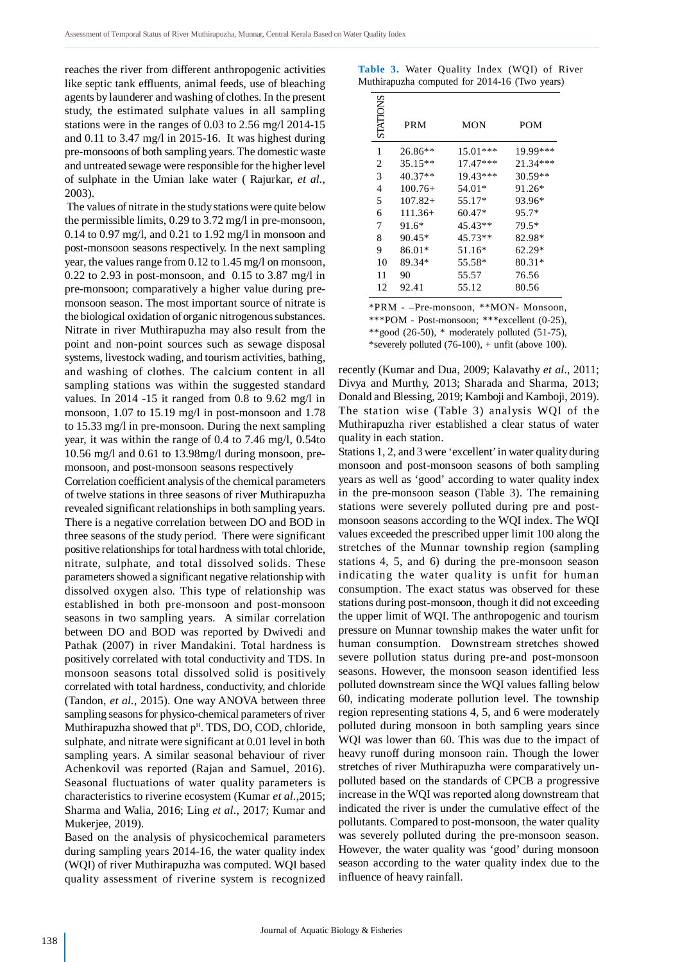reaches the river from different anthropogenic activities like septic tank effluents, animal feeds, use of bleaching agents by launderer and washing of clothes. In the present study, the estimated sulphate values in all sampling stations were in the ranges of 0.03 to 2.56 mg/l 2014-15 and 0.11 to 3.47 mg/l in 2015-16. It was highest during pre-monsoons of both sampling years. The domestic waste and untreated sewage were responsible for the higher level of sulphate in the Umian lake water ( Rajurkar, *et al.,* 2003).

 The values of nitrate in the study stations were quite below the permissible limits, 0.29 to 3.72 mg/l in pre-monsoon, 0.14 to 0.97 mg/l, and 0.21 to 1.92 mg/l in monsoon and post-monsoon seasons respectively. In the next sampling year, the values range from 0.12 to 1.45 mg/l on monsoon,  $0.22$  to 2.93 in post-monsoon, and  $0.15$  to 3.87 mg/l in pre-monsoon; comparatively a higher value during premonsoon season. The most important source of nitrate is the biological oxidation of organic nitrogenous substances. Nitrate in river Muthirapuzha may also result from the point and non-point sources such as sewage disposal systems, livestock wading, and tourism activities, bathing, and washing of clothes. The calcium content in all sampling stations was within the suggested standard values. In 2014 -15 it ranged from 0.8 to 9.62 mg/l in monsoon, 1.07 to 15.19 mg/l in post-monsoon and 1.78 to 15.33 mg/l in pre-monsoon. During the next sampling year, it was within the range of 0.4 to 7.46 mg/l, 0.54to 10.56 mg/l and 0.61 to 13.98mg/l during monsoon, premonsoon, and post-monsoon seasons respectively

Correlation coefficient analysis of the chemical parameters of twelve stations in three seasons of river Muthirapuzha revealed significant relationships in both sampling years. There is a negative correlation between DO and BOD in three seasons of the study period. There were significant positive relationships for total hardness with total chloride, nitrate, sulphate, and total dissolved solids. These parameters showed a significant negative relationship with dissolved oxygen also. This type of relationship was established in both pre-monsoon and post-monsoon seasons in two sampling years. A similar correlation between DO and BOD was reported by Dwivedi and Pathak (2007) in river Mandakini. Total hardness is positively correlated with total conductivity and TDS. In monsoon seasons total dissolved solid is positively correlated with total hardness, conductivity, and chloride (Tandon, *et al.*, 2015). One way ANOVA between three sampling seasons for physico-chemical parameters of river Muthirapuzha showed that p<sup>H</sup>. TDS, DO, COD, chloride, sulphate, and nitrate were significant at 0.01 level in both sampling years. A similar seasonal behaviour of river Achenkovil was reported (Rajan and Samuel, 2016). Seasonal fluctuations of water quality parameters is characteristics to riverine ecosystem (Kumar *et al.*,2015; Sharma and Walia, 2016; Ling *et al*., 2017; Kumar and Mukerjee, 2019).

Based on the analysis of physicochemical parameters during sampling years 2014-16, the water quality index (WQI) of river Muthirapuzha was computed. WQI based quality assessment of riverine system is recognized

|  | <b>Table 3.</b> Water Quality Index (WQI) of River |  |  |
|--|----------------------------------------------------|--|--|
|  | Muthirapuzha computed for 2014-16 (Two years)      |  |  |

| STATIONS | <b>PRM</b> | MON        | <b>POM</b> |
|----------|------------|------------|------------|
| 1        | 26.86**    | $15.01***$ | 19.99***   |
| 2        | 35.15**    | $17.47***$ | 21.34***   |
| 3        | 40.37**    | 19.43***   | 30.59**    |
| 4        | $100.76+$  | 54.01*     | 91.26*     |
| 5        | $107.82+$  | 55.17*     | 93.96*     |
| 6        | $111.36+$  | $60.47*$   | $95.7*$    |
| 7        | 91.6*      | 45.43**    | 79.5*      |
| 8        | 90.45*     | 45.73**    | 82.98*     |
| 9        | 86.01*     | 51.16*     | $62.29*$   |
| 10       | 89.34*     | 55.58*     | 80.31*     |
| 11       | 90         | 55.57      | 76.56      |
| 12       | 92.41      | 55.12      | 80.56      |

\*PRM - –Pre-monsoon, \*\*MON- Monsoon, \*\*\*POM - Post-monsoon; \*\*\*excellent (0-25), \*\*good  $(26-50)$ , \* moderately polluted  $(51-75)$ , \*severely polluted (76-100), + unfit (above 100).

recently (Kumar and Dua, 2009; Kalavathy *et al*., 2011; Divya and Murthy, 2013; Sharada and Sharma, 2013; Donald and Blessing, 2019; Kamboji and Kamboji, 2019). The station wise (Table 3) analysis WQI of the Muthirapuzha river established a clear status of water quality in each station.

Stations 1, 2, and 3 were 'excellent' in water quality during monsoon and post-monsoon seasons of both sampling years as well as 'good' according to water quality index in the pre-monsoon season (Table 3). The remaining stations were severely polluted during pre and postmonsoon seasons according to the WQI index. The WQI values exceeded the prescribed upper limit 100 along the stretches of the Munnar township region (sampling stations 4, 5, and 6) during the pre-monsoon season indicating the water quality is unfit for human consumption. The exact status was observed for these stations during post-monsoon, though it did not exceeding the upper limit of WQI. The anthropogenic and tourism pressure on Munnar township makes the water unfit for human consumption. Downstream stretches showed severe pollution status during pre-and post-monsoon seasons. However, the monsoon season identified less polluted downstream since the WQI values falling below 60, indicating moderate pollution level. The township region representing stations 4, 5, and 6 were moderately polluted during monsoon in both sampling years since WQI was lower than 60. This was due to the impact of heavy runoff during monsoon rain. Though the lower stretches of river Muthirapuzha were comparatively unpolluted based on the standards of CPCB a progressive increase in the WQI was reported along downstream that indicated the river is under the cumulative effect of the pollutants. Compared to post-monsoon, the water quality was severely polluted during the pre-monsoon season. However, the water quality was 'good' during monsoon season according to the water quality index due to the influence of heavy rainfall.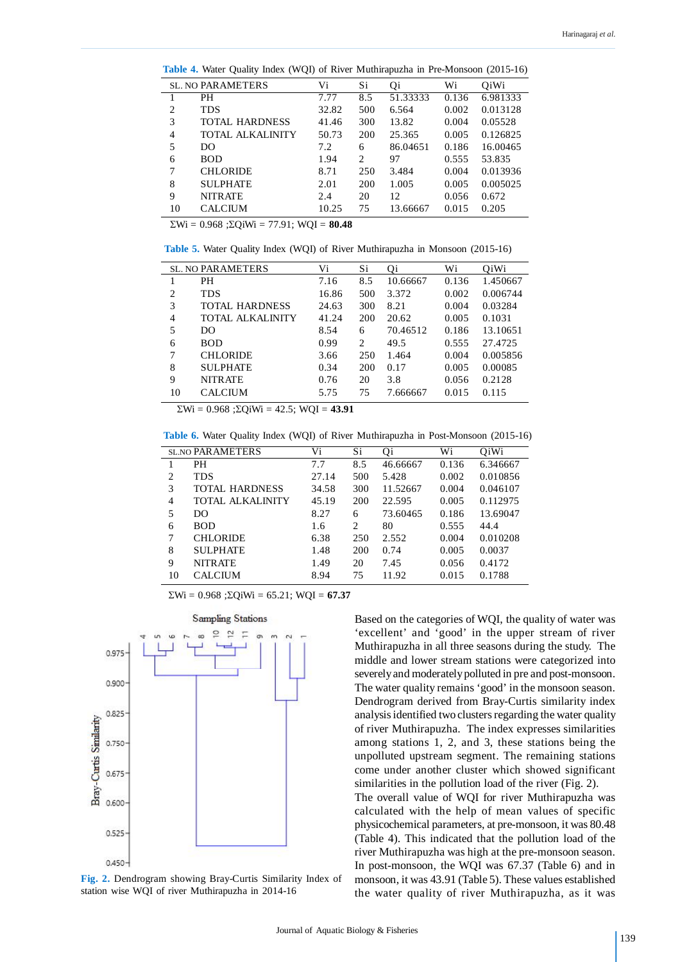**Table 4.** Water Quality Index (WQI) of River Muthirapuzha in Pre-Monsoon (2015-16)

|    | <b>SL. NO PARAMETERS</b> | Vi    | Si  | 0i       | Wi    | O <sub>i</sub> W <sub>i</sub> |
|----|--------------------------|-------|-----|----------|-------|-------------------------------|
|    | <b>PH</b>                | 7.77  | 8.5 | 51.33333 | 0.136 | 6.981333                      |
| 2  | <b>TDS</b>               | 32.82 | 500 | 6.564    | 0.002 | 0.013128                      |
| 3  | <b>TOTAL HARDNESS</b>    | 41.46 | 300 | 13.82    | 0.004 | 0.05528                       |
| 4  | <b>TOTAL ALKALINITY</b>  | 50.73 | 200 | 25.365   | 0.005 | 0.126825                      |
| 5  | DO.                      | 7.2   | 6   | 86.04651 | 0.186 | 16.00465                      |
| 6  | <b>BOD</b>               | 1.94  | 2   | 97       | 0.555 | 53.835                        |
| 7  | <b>CHLORIDE</b>          | 8.71  | 250 | 3.484    | 0.004 | 0.013936                      |
| 8  | <b>SULPHATE</b>          | 2.01  | 200 | 1.005    | 0.005 | 0.005025                      |
| 9  | <b>NITRATE</b>           | 2.4   | 20  | 12       | 0.056 | 0.672                         |
| 10 | <b>CALCIUM</b>           | 10.25 | 75  | 13.66667 | 0.015 | 0.205                         |
|    |                          |       |     |          |       |                               |

 $\Sigma$ Wi = 0.968 ; $\Sigma$ OiWi = 77.91; WOI = **80.48** 

**Table 5.** Water Quality Index (WQI) of River Muthirapuzha in Monsoon (2015-16)

|                | <b>SL. NO PARAMETERS</b> | Vi    | Si                            | Oi       | Wi    | OiWi     |
|----------------|--------------------------|-------|-------------------------------|----------|-------|----------|
|                | PН                       | 7.16  | 8.5                           | 10.66667 | 0.136 | 1.450667 |
| $\overline{c}$ | <b>TDS</b>               | 16.86 | 500                           | 3.372    | 0.002 | 0.006744 |
| 3              | TOTAL HARDNESS           | 24.63 | 300                           | 8.21     | 0.004 | 0.03284  |
| $\overline{4}$ | <b>TOTAL ALKALINITY</b>  | 41.24 | 200                           | 20.62    | 0.005 | 0.1031   |
| 5              | DO                       | 8.54  | 6                             | 70.46512 | 0.186 | 13.10651 |
| 6              | <b>BOD</b>               | 0.99  | $\mathfrak{D}_{\mathfrak{p}}$ | 49.5     | 0.555 | 27.4725  |
|                | <b>CHLORIDE</b>          | 3.66  | 250                           | 1.464    | 0.004 | 0.005856 |
| 8              | <b>SULPHATE</b>          | 0.34  | 200                           | 0.17     | 0.005 | 0.00085  |
| 9              | <b>NITRATE</b>           | 0.76  | 20                            | 3.8      | 0.056 | 0.2128   |
| 10             | CALCIUM                  | 5.75  | 75                            | 7.666667 | 0.015 | 0.115    |

 $\Sigma$ Wi = 0.968 ; $\Sigma$ QiWi = 42.5; WQI = **43.91** 

**Table 6.** Water Quality Index (WQI) of River Muthirapuzha in Post-Monsoon (2015-16)

|                | <b>SL.NO PARAMETERS</b> | Vi    | Si.            | Qi       | Wi    | OiWi     |
|----------------|-------------------------|-------|----------------|----------|-------|----------|
| -1             | <b>PH</b>               | 7.7   | 8.5            | 46.66667 | 0.136 | 6.346667 |
| $\overline{2}$ | <b>TDS</b>              | 27.14 | 500            | 5.428    | 0.002 | 0.010856 |
| 3              | <b>TOTAL HARDNESS</b>   | 34.58 | 300            | 11.52667 | 0.004 | 0.046107 |
| $\overline{4}$ | <b>TOTAL ALKALINITY</b> | 45.19 | 200            | 22.595   | 0.005 | 0.112975 |
| 5              | DO                      | 8.27  | 6              | 73.60465 | 0.186 | 13.69047 |
| 6              | <b>BOD</b>              | 1.6   | $\mathfrak{D}$ | 80       | 0.555 | 44.4     |
| 7              | <b>CHLORIDE</b>         | 6.38  | 250            | 2.552    | 0.004 | 0.010208 |
| 8              | <b>SULPHATE</b>         | 1.48  | 200            | 0.74     | 0.005 | 0.0037   |
| 9              | <b>NITRATE</b>          | 1.49  | 20             | 7.45     | 0.056 | 0.4172   |
| 10             | <b>CALCIUM</b>          | 8.94  | 75             | 11.92    | 0.015 | 0.1788   |

 $\Sigma$ Wi = 0.968 ; $\Sigma$ QiWi = 65.21; WQI = **67.37** 



**Fig. 2.** Dendrogram showing Bray-Curtis Similarity Index of station wise WQI of river Muthirapuzha in 2014-16

Based on the categories of WQI, the quality of water was 'excellent' and 'good' in the upper stream of river Muthirapuzha in all three seasons during the study. The middle and lower stream stations were categorized into severely and moderately polluted in pre and post-monsoon. The water quality remains 'good' in the monsoon season. Dendrogram derived from Bray-Curtis similarity index analysis identified two clusters regarding the water quality of river Muthirapuzha. The index expresses similarities among stations 1, 2, and 3, these stations being the unpolluted upstream segment. The remaining stations come under another cluster which showed significant similarities in the pollution load of the river (Fig. 2). The overall value of WQI for river Muthirapuzha was calculated with the help of mean values of specific physicochemical parameters, at pre-monsoon, it was 80.48 (Table 4). This indicated that the pollution load of the river Muthirapuzha was high at the pre-monsoon season. In post-monsoon, the WQI was 67.37 (Table 6) and in monsoon, it was 43.91 (Table 5). These values established the water quality of river Muthirapuzha, as it was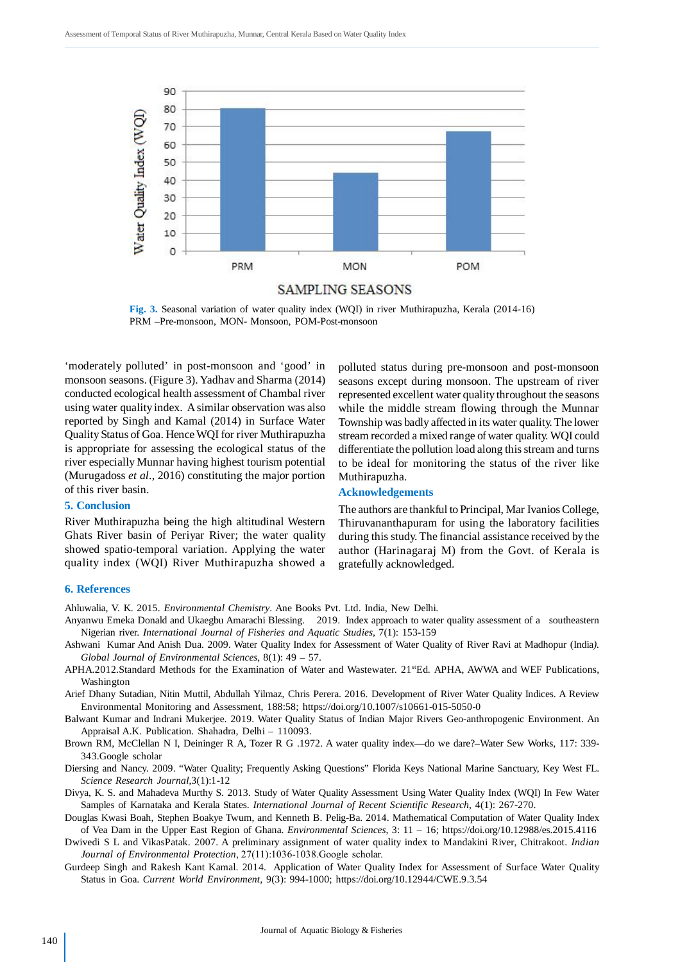

**Fig. 3.** Seasonal variation of water quality index (WQI) in river Muthirapuzha, Kerala (2014-16) PRM –Pre-monsoon, MON- Monsoon, POM-Post-monsoon

'moderately polluted' in post-monsoon and 'good' in monsoon seasons. (Figure 3). Yadhav and Sharma (2014) conducted ecological health assessment of Chambal river using water quality index. A similar observation was also reported by Singh and Kamal (2014) in Surface Water Quality Status of Goa. Hence WQI for river Muthirapuzha is appropriate for assessing the ecological status of the river especially Munnar having highest tourism potential (Murugadoss *et al*., 2016) constituting the major portion of this river basin.

#### **5. Conclusion**

River Muthirapuzha being the high altitudinal Western Ghats River basin of Periyar River; the water quality showed spatio-temporal variation. Applying the water quality index (WQI) River Muthirapuzha showed a polluted status during pre-monsoon and post-monsoon seasons except during monsoon. The upstream of river represented excellent water quality throughout the seasons while the middle stream flowing through the Munnar Township was badly affected in its water quality. The lower stream recorded a mixed range of water quality. WQI could differentiate the pollution load along this stream and turns to be ideal for monitoring the status of the river like Muthirapuzha.

#### **Acknowledgements**

The authors are thankful to Principal, Mar Ivanios College, Thiruvananthapuram for using the laboratory facilities during this study. The financial assistance received by the author (Harinagaraj M) from the Govt. of Kerala is gratefully acknowledged.

#### **6. References**

Ahluwalia, V. K. 2015. *Environmental Chemistry*. Ane Books Pvt. Ltd. India, New Delhi.

- Anyanwu Emeka Donald and Ukaegbu Amarachi Blessing. 2019. Index approach to water quality assessment of a southeastern Nigerian river. *International Journal of Fisheries and Aquatic Studies,* 7(1): 153-159
- Ashwani Kumar And Anish Dua. 2009. Water Quality Index for Assessment of Water Quality of River Ravi at Madhopur (India*). Global Journal of Environmental Sciences*, 8(1): 49 – 57.
- APHA.2012.Standard Methods for the Examination of Water and Wastewater. 21 KHz. APHA, AWWA and WEF Publications, Washington
- Arief Dhany Sutadian, Nitin Muttil, Abdullah Yilmaz, Chris Perera. 2016. Development of River Water Quality Indices. A Review Environmental Monitoring and Assessment, 188:58; https://doi.org/10.1007/s10661-015-5050-0

Balwant Kumar and Indrani Mukerjee. 2019. Water Quality Status of Indian Major Rivers Geo-anthropogenic Environment. An Appraisal A.K. Publication. Shahadra, Delhi – 110093.

- Brown RM, McClellan N I, Deininger R A, Tozer R G .1972. A water quality index—do we dare?–Water Sew Works, 117: 339- 343.Google scholar
- Diersing and Nancy. 2009. "Water Quality; Frequently Asking Questions" Florida Keys National Marine Sanctuary, Key West FL. *Science Research Journal*,3(1):1-12
- Divya, K. S. and Mahadeva Murthy S. 2013. Study of Water Quality Assessment Using Water Quality Index (WQI) In Few Water Samples of Karnataka and Kerala States. *International Journal of Recent Scientific Research*, 4(1): 267-270.
- Douglas Kwasi Boah, Stephen Boakye Twum, and Kenneth B. Pelig-Ba. 2014. Mathematical Computation of Water Quality Index of Vea Dam in the Upper East Region of Ghana. *Environmental Sciences*, 3: 11 – 16; https://doi.org/10.12988/es.2015.4116

Dwivedi S L and VikasPatak. 2007. A preliminary assignment of water quality index to Mandakini River, Chitrakoot. *Indian Journal of Environmental Protection*, 27(11):1036-1038.Google scholar.

Gurdeep Singh and Rakesh Kant Kamal. 2014. Application of Water Quality Index for Assessment of Surface Water Quality Status in Goa. *Current World Environment*, 9(3): 994-1000; https://doi.org/10.12944/CWE.9.3.54